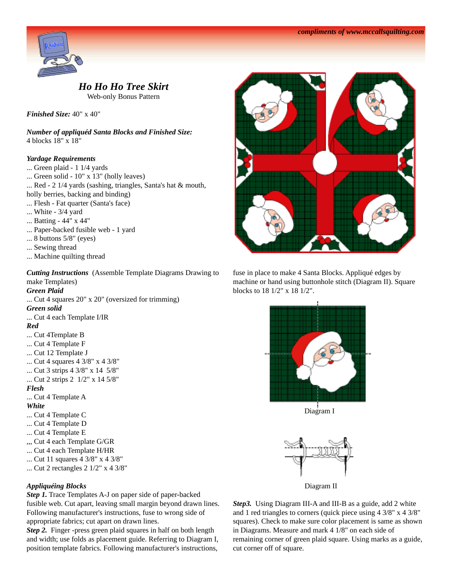

# *Ho Ho Ho Tree Skirt*

Web-only Bonus Pattern

*Finished Size:* 40" x 40"

*Number of appliquéd Santa Blocks and Finished Size:* 4 blocks 18" x 18"

## *Yardage Requirements*

- ... Green plaid 1 1/4 yards
- ... Green solid 10" x 13" (holly leaves)
- ... Red 2 1/4 yards (sashing, triangles, Santa's hat & mouth,
- holly berries, backing and binding)
- ... Flesh Fat quarter (Santa's face)
- ... White 3/4 yard
- ... Batting 44" x 44"
- ... Paper-backed fusible web 1 yard
- ... 8 buttons 5/8" (eyes)
- ... Sewing thread
- ... Machine quilting thread

*Cutting Instructions* (Assemble Template Diagrams Drawing to make Templates)

#### *Green Plaid*

... Cut 4 squares 20" x 20" (oversized for trimming) *Green solid*

... Cut 4 each Template I/IR

#### *Red*

- ... Cut 4Template B
- ... Cut 4 Template F
- ... Cut 12 Template J
- ... Cut 4 squares 4 3/8" x 4 3/8"
- ... Cut 3 strips 4 3/8" x 14 5/8"
- ... Cut 2 strips 2 1/2" x 14 5/8"

#### *Flesh*

... Cut 4 Template A

#### *White*

- ... Cut 4 Template C
- ... Cut 4 Template D
- ... Cut 4 Template E
- ,,, Cut 4 each Template G/GR
- ... Cut 4 each Template H/HR
- ... Cut 11 squares 4 3/8" x 4 3/8"
- ... Cut 2 rectangles 2 1/2" x 4 3/8"

### *Appliquéing Blocks*

*Step 1.* Trace Templates A-J on paper side of paper-backed fusible web. Cut apart, leaving small margin beyond drawn lines. Following manufacturer's instructions, fuse to wrong side of appropriate fabrics; cut apart on drawn lines.

*Step 2.* Finger -press green plaid squares in half on both length and width; use folds as placement guide. Referring to Diagram I, position template fabrics. Following manufacturer's instructions,



fuse in place to make 4 Santa Blocks. Appliqué edges by machine or hand using buttonhole stitch (Diagram II). Square blocks to 18 1/2" x 18 1/2".



Diagram I



Diagram II

Step3. Using Diagram III-A and III-B as a guide, add 2 white and 1 red triangles to corners (quick piece using 4 3/8" x 4 3/8" squares). Check to make sure color placement is same as shown in Diagrams. Measure and mark 4 1/8" on each side of remaining corner of green plaid square. Using marks as a guide, cut corner off of square.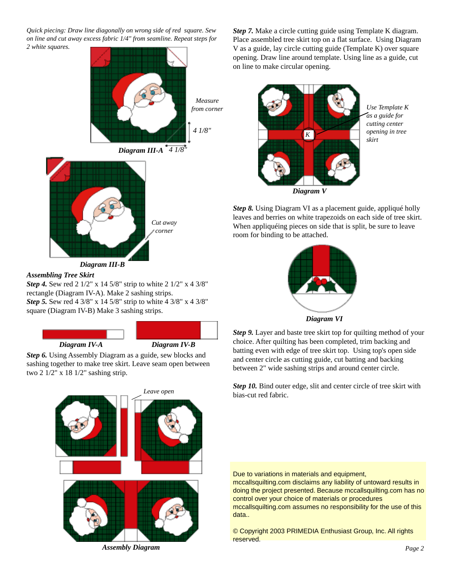*Quick piecing: Draw line diagonally on wrong side of red square. Sew on line and cut away excess fabric 1/4" from seamline. Repeat steps for 2 white squares.*



# *Assembling Tree Skirt*

*Step 4.* Sew red 2 1/2" x 14 5/8" strip to white 2 1/2" x 4 3/8" rectangle (Diagram IV-A). Make 2 sashing strips. *Step 5.* Sew red 4 3/8" x 14 5/8" strip to white 4 3/8" x 4 3/8" square (Diagram IV-B) Make 3 sashing strips.





*Step 6.* Using Assembly Diagram as a guide, sew blocks and sashing together to make tree skirt. Leave seam open between two 2 1/2" x 18 1/2" sashing strip.



*Assembly Diagram*

*Step 7.* Make a circle cutting guide using Template K diagram. Place assembled tree skirt top on a flat surface. Using Diagram V as a guide, lay circle cutting guide (Template K) over square opening. Draw line around template. Using line as a guide, cut on line to make circular opening.



*Use Template K as a guide for cutting center opening in tree skirt*

*Diagram V*

*Step 8.* Using Diagram VI as a placement guide, appliqué holly leaves and berries on white trapezoids on each side of tree skirt. When appliquéing pieces on side that is split, be sure to leave room for binding to be attached.



*Diagram VI*

*Step 9.* Layer and baste tree skirt top for quilting method of your choice. After quilting has been completed, trim backing and batting even with edge of tree skirt top. Using top's open side and center circle as cutting guide, cut batting and backing between 2" wide sashing strips and around center circle.

*Step 10.* Bind outer edge, slit and center circle of tree skirt with bias-cut red fabric.

Due to variations in materials and equipment,

mccallsquilting.com disclaims any liability of untoward results in doing the project presented. Because mccallsquilting.com has no control over your choice of materials or procedures mccallsquilting.com assumes no responsibility for the use of this data..

© Copyright 2003 PRIMEDIA Enthusiast Group, Inc. All rights reserved.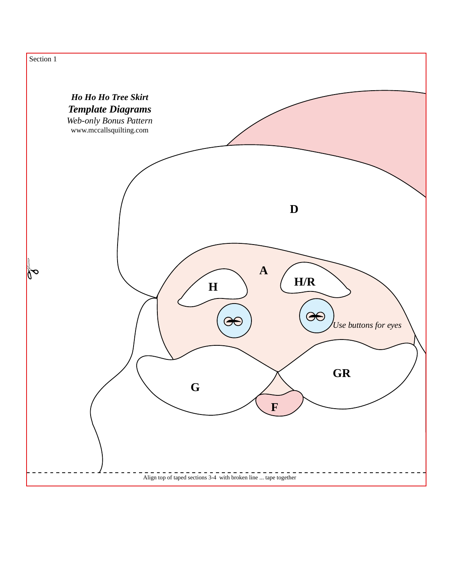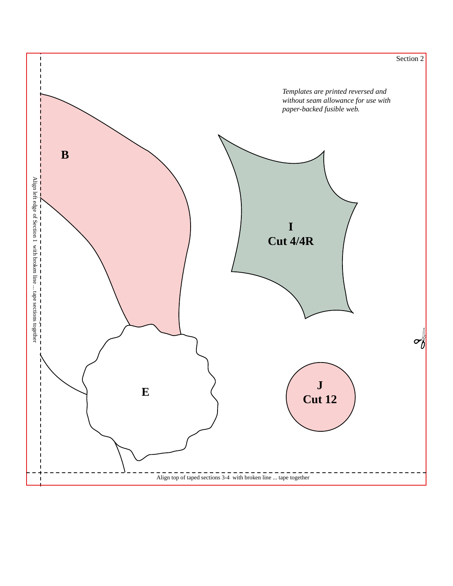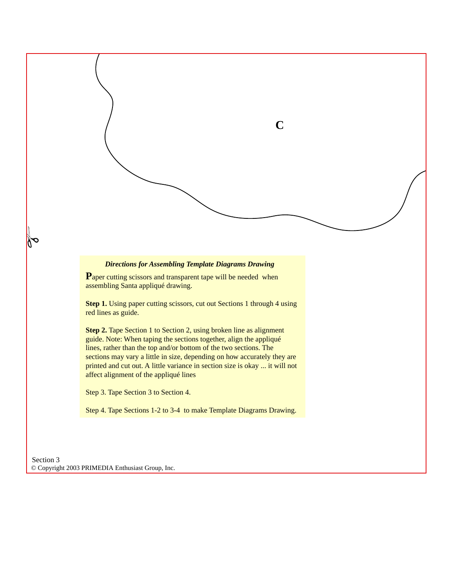